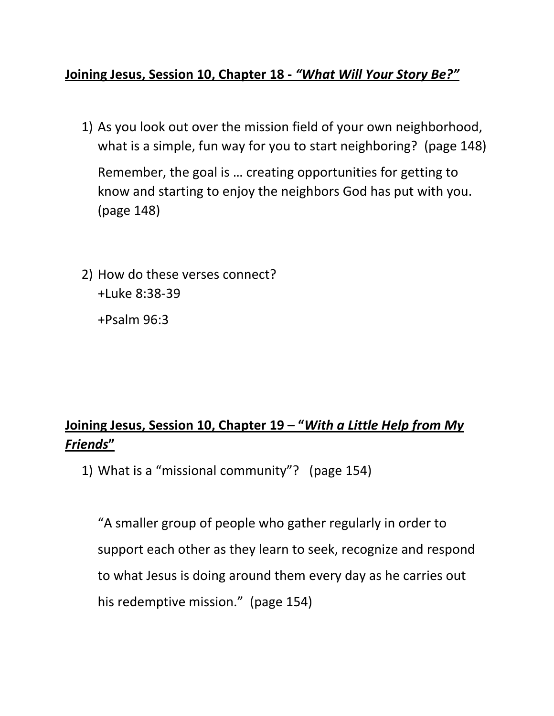## **Joining Jesus, Session 10, Chapter 18 -** *"What Will Your Story Be?"*

1) As you look out over the mission field of your own neighborhood, what is a simple, fun way for you to start neighboring? (page 148)

Remember, the goal is … creating opportunities for getting to know and starting to enjoy the neighbors God has put with you. (page 148)

2) How do these verses connect? +Luke 8:38-39

+Psalm 96:3

## **Joining Jesus, Session 10, Chapter 19 – "***With a Little Help from My Friends***"**

1) What is a "missional community"? (page 154)

"A smaller group of people who gather regularly in order to support each other as they learn to seek, recognize and respond to what Jesus is doing around them every day as he carries out his redemptive mission." (page 154)